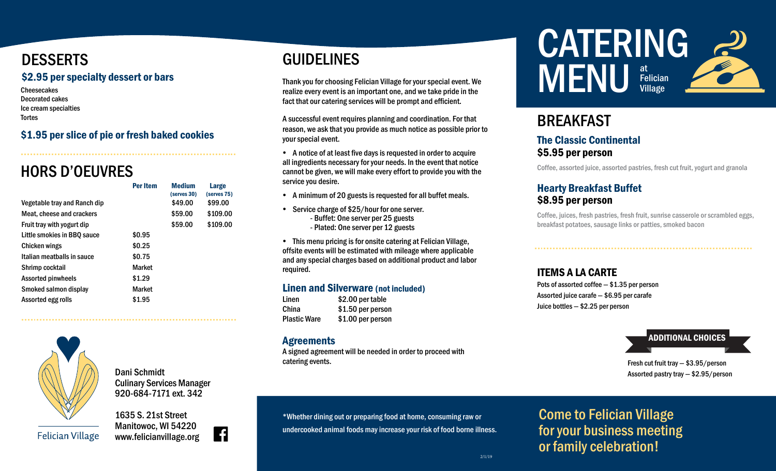# **DESSERTS**

#### \$2.95 per specialty dessert or bars

**Cheesecakes** Decorated cakes Ice cream specialties **Tortes** 

### \$1.95 per slice of pie or fresh baked cookies

# HORS D'OEUVRES

|                              | <b>Per Item</b> | <b>Medium</b><br>(serves 30) | Large<br>(serves 75) |
|------------------------------|-----------------|------------------------------|----------------------|
| Vegetable tray and Ranch dip |                 | \$49.00                      | \$99.00              |
| Meat, cheese and crackers    |                 | \$59.00                      | \$109.00             |
| Fruit tray with yogurt dip   |                 | \$59.00                      | \$109.00             |
| Little smokies in BBO sauce  | \$0.95          |                              |                      |
| Chicken wings                | \$0.25          |                              |                      |
| Italian meatballs in sauce   | \$0.75          |                              |                      |
| Shrimp cocktail              | <b>Market</b>   |                              |                      |
| <b>Assorted pinwheels</b>    | \$1.29          |                              |                      |
| Smoked salmon display        | <b>Market</b>   |                              |                      |
| Assorted egg rolls           | \$1.95          |                              |                      |
|                              |                 |                              |                      |



Dani Schmidt Culinary Services Manager 920-684-7171 ext. 342

1635 S. 21st Street Manitowoc, WI 54220 www.felicianvillage.org



# GUIDELINES

Thank you for choosing Felician Village for your special event. We realize every event is an important one, and we take pride in the fact that our catering services will be prompt and efficient.

A successful event requires planning and coordination. For that reason, we ask that you provide as much notice as possible prior to your special event.

- A notice of at least five days is requested in order to acquire all ingredients necessary for your needs. In the event that notice cannot be given, we will make every effort to provide you with the service you desire.
- A minimum of 20 guests is requested for all buffet meals.
- Service charge of \$25/hour for one server. - Buffet: One server per 25 guests - Plated: One server per 12 guests

 This menu pricing is for onsite catering at Felician Village, offsite events will be estimated with mileage where applicable and any special charges based on additional product and labor required.

#### Linen and Silverware (not included)

Linen \$2.00 per table China \$1.50 per person Plastic Ware \$1.00 per person

#### **Agreements**

A signed agreement will be needed in order to proceed with catering events.



# **BREAKFAST**

#### The Classic Continental \$5.95 per person

Coffee, assorted juice, assorted pastries, fresh cut fruit, yogurt and granola

### Hearty Breakfast Buffet \$8.95 per person

Coffee, juices, fresh pastries, fresh fruit, sunrise casserole or scrambled eggs, breakfast potatoes, sausage links or patties, smoked bacon

### ITEMS A LA CARTE

Pots of assorted coffee — \$1.35 per person Assorted juice carafe — \$6.95 per carafe Juice bottles — \$2.25 per person

# ADDITIONAL CHOICES

Fresh cut fruit tray — \$3.95/person Assorted pastry tray — \$2.95/person

# Come to Felician Village for your business meeting or family celebration!

\*Whether dining out or preparing food at home, consuming raw or undercooked animal foods may increase your risk of food borne illness.